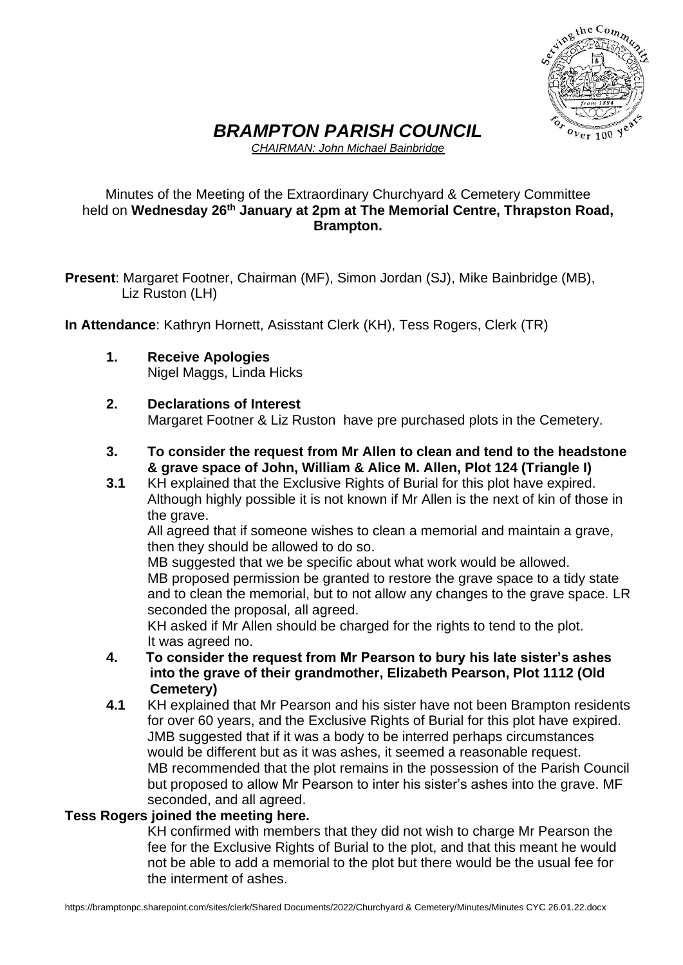

## *BRAMPTON PARISH COUNCIL*

*CHAIRMAN: John Michael Bainbridge*

## Minutes of the Meeting of the Extraordinary Churchyard & Cemetery Committee held on **Wednesday 26 th January at 2pm at The Memorial Centre, Thrapston Road, Brampton.**

**Present**: Margaret Footner, Chairman (MF), Simon Jordan (SJ), Mike Bainbridge (MB), Liz Ruston (LH)

**In Attendance**: Kathryn Hornett, Asisstant Clerk (KH), Tess Rogers, Clerk (TR)

- **1. Receive Apologies** Nigel Maggs, Linda Hicks
- **2. Declarations of Interest**

Margaret Footner & Liz Ruston have pre purchased plots in the Cemetery.

- **3. To consider the request from Mr Allen to clean and tend to the headstone & grave space of John, William & Alice M. Allen, Plot 124 (Triangle I)**
- **3.1** KH explained that the Exclusive Rights of Burial for this plot have expired. Although highly possible it is not known if Mr Allen is the next of kin of those in the grave.

All agreed that if someone wishes to clean a memorial and maintain a grave, then they should be allowed to do so.

MB suggested that we be specific about what work would be allowed. MB proposed permission be granted to restore the grave space to a tidy state and to clean the memorial, but to not allow any changes to the grave space. LR seconded the proposal, all agreed.

KH asked if Mr Allen should be charged for the rights to tend to the plot. It was agreed no.

- **4. To consider the request from Mr Pearson to bury his late sister's ashes into the grave of their grandmother, Elizabeth Pearson, Plot 1112 (Old Cemetery)**
- **4.1** KH explained that Mr Pearson and his sister have not been Brampton residents for over 60 years, and the Exclusive Rights of Burial for this plot have expired. JMB suggested that if it was a body to be interred perhaps circumstances would be different but as it was ashes, it seemed a reasonable request. MB recommended that the plot remains in the possession of the Parish Council but proposed to allow Mr Pearson to inter his sister's ashes into the grave. MF seconded, and all agreed.

## **Tess Rogers joined the meeting here.**

KH confirmed with members that they did not wish to charge Mr Pearson the fee for the Exclusive Rights of Burial to the plot, and that this meant he would not be able to add a memorial to the plot but there would be the usual fee for the interment of ashes.